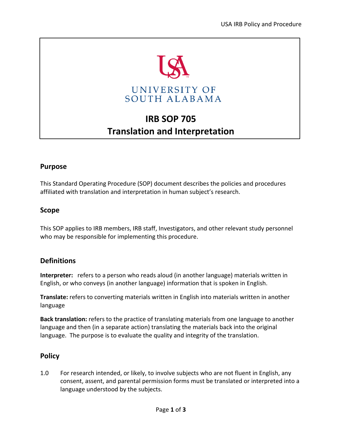

# **IRB SOP 705 Translation and Interpretation**

# **Purpose**

This Standard Operating Procedure (SOP) document describes the policies and procedures affiliated with translation and interpretation in human subject's research.

# **Scope**

This SOP applies to IRB members, IRB staff, Investigators, and other relevant study personnel who may be responsible for implementing this procedure.

# **Definitions**

**Interpreter:** refers to a person who reads aloud (in another language) materials written in English, or who conveys (in another language) information that is spoken in English.

**Translate:** refers to converting materials written in English into materials written in another language

**Back translation:** refers to the practice of translating materials from one language to another language and then (in a separate action) translating the materials back into the original language. The purpose is to evaluate the quality and integrity of the translation.

# **Policy**

1.0 For research intended, or likely, to involve subjects who are not fluent in English, any consent, assent, and parental permission forms must be translated or interpreted into a language understood by the subjects.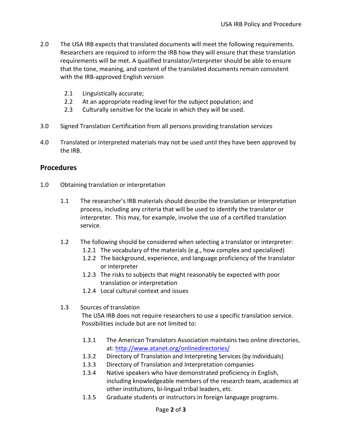- 2.0 The USA IRB expects that translated documents will meet the following requirements. Researchers are required to inform the IRB how they will ensure that these translation requirements will be met. A qualified translator/interpreter should be able to ensure that the tone, meaning, and content of the translated documents remain consistent with the IRB-approved English version
	- 2.1 Linguistically accurate;
	- 2.2 At an appropriate reading level for the subject population; and
	- 2.3 Culturally sensitive for the locale in which they will be used.
- 3.0 Signed Translation Certification from all persons providing translation services
- 4.0 Translated or interpreted materials may not be used until they have been approved by the IRB.

#### **Procedures**

- 1.0 Obtaining translation or interpretation
	- 1.1 The researcher's IRB materials should describe the translation or interpretation process, including any criteria that will be used to identify the translator or interpreter. This may, for example, involve the use of a certified translation service.
	- 1.2 The following should be considered when selecting a translator or interpreter:
		- 1.2.1 The vocabulary of the materials (e.g., how complex and specialized)
		- 1.2.2 The background, experience, and language proficiency of the translator or interpreter
		- 1.2.3 The risks to subjects that might reasonably be expected with poor translation or interpretation
		- 1.2.4 Local cultural context and issues
	- 1.3 Sources of translation

The USA IRB does not require researchers to use a specific translation service. Possibilities include but are not limited to:

- 1.3.1 The American Translators Association maintains two online directories, at:<http://www.atanet.org/onlinedirectories/>
- 1.3.2 Directory of Translation and Interpreting Services (by individuals)
- 1.3.3 Directory of Translation and Interpretation companies
- 1.3.4 Native speakers who have demonstrated proficiency in English, including knowledgeable members of the research team, academics at other institutions, bi-lingual tribal leaders, etc.
- 1.3.5 Graduate students or instructors in foreign language programs.